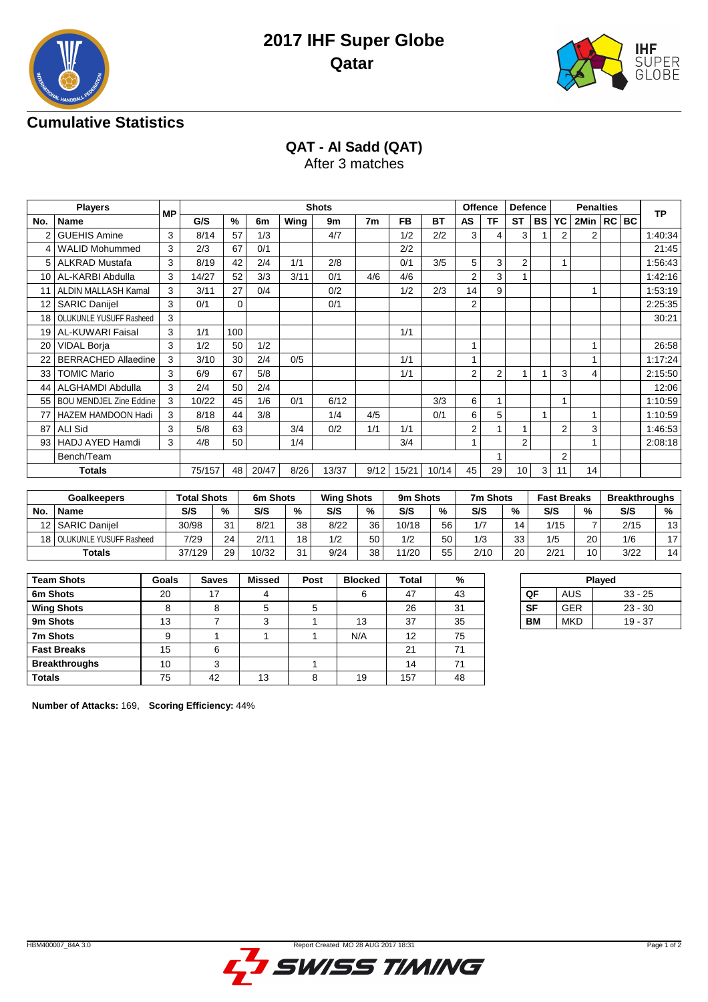



# **Cumulative Statistics**

**QAT - Al Sadd (QAT)**

After 3 matches

| <b>Players</b><br><b>MP</b> |                              |   |        |     |       |      | <b>Shots</b> |      |           |           | Offence        |           | <b>Defence</b> |           |                | <b>Penalties</b> |  | <b>TP</b> |
|-----------------------------|------------------------------|---|--------|-----|-------|------|--------------|------|-----------|-----------|----------------|-----------|----------------|-----------|----------------|------------------|--|-----------|
| No.                         | <b>Name</b>                  |   | G/S    | %   | 6m    | Wing | 9m           | 7m   | <b>FB</b> | <b>BT</b> | AS             | <b>TF</b> | <b>ST</b>      | <b>BS</b> | YC             | 2Min   RC   BC   |  |           |
|                             | <b>GUEHIS Amine</b>          | 3 | 8/14   | 57  | 1/3   |      | 4/7          |      | 1/2       | 2/2       | 3              | 4         | 3              |           | 2              | 2                |  | 1:40:34   |
| $\overline{4}$              | <b>WALID Mohummed</b>        | 3 | 2/3    | 67  | 0/1   |      |              |      | 2/2       |           |                |           |                |           |                |                  |  | 21:45     |
| 5                           | <b>ALKRAD Mustafa</b>        | 3 | 8/19   | 42  | 2/4   | 1/1  | 2/8          |      | 0/1       | 3/5       | 5              | 3         | 2              |           | 1              |                  |  | 1:56:43   |
| 10 <sup>1</sup>             | AL-KARBI Abdulla             | 3 | 14/27  | 52  | 3/3   | 3/11 | 0/1          | 4/6  | 4/6       |           | $\overline{2}$ | 3         |                |           |                |                  |  | 1:42:16   |
| 11                          | ALDIN MALLASH Kamal          | 3 | 3/11   | 27  | 0/4   |      | 0/2          |      | 1/2       | 2/3       | 14             | 9         |                |           |                |                  |  | 1:53:19   |
| 12 <sup>°</sup>             | <b>SARIC Danijel</b>         | 3 | 0/1    | 0   |       |      | 0/1          |      |           |           | $\overline{2}$ |           |                |           |                |                  |  | 2:25:35   |
| 18                          | OLUKUNLE YUSUFF Rasheed      | 3 |        |     |       |      |              |      |           |           |                |           |                |           |                |                  |  | 30:21     |
| 19 I                        | <b>AL-KUWARI Faisal</b>      | 3 | 1/1    | 100 |       |      |              |      | 1/1       |           |                |           |                |           |                |                  |  |           |
| 20                          | <b>VIDAL Borja</b>           | 3 | 1/2    | 50  | 1/2   |      |              |      |           |           |                |           |                |           |                |                  |  | 26:58     |
| 22                          | <b>BERRACHED Allaedine</b>   | 3 | 3/10   | 30  | 2/4   | 0/5  |              |      | 1/1       |           | 1              |           |                |           |                |                  |  | 1:17:24   |
| 33                          | <b>TOMIC Mario</b>           | 3 | 6/9    | 67  | 5/8   |      |              |      | 1/1       |           | $\overline{2}$ | 2         |                |           | 3              | 4                |  | 2:15:50   |
| 44                          | ALGHAMDI Abdulla             | 3 | 2/4    | 50  | 2/4   |      |              |      |           |           |                |           |                |           |                |                  |  | 12:06     |
|                             | 55   BOU MENDJEL Zine Eddine | 3 | 10/22  | 45  | 1/6   | 0/1  | 6/12         |      |           | 3/3       | 6              |           |                |           | 1              |                  |  | 1:10:59   |
|                             | HAZEM HAMDOON Hadi           | 3 | 8/18   | 44  | 3/8   |      | 1/4          | 4/5  |           | 0/1       | 6              | 5         |                |           |                |                  |  | 1:10:59   |
| 87                          | <b>ALI Sid</b>               | 3 | 5/8    | 63  |       | 3/4  | 0/2          | 1/1  | 1/1       |           | 2              |           |                |           | $\overline{2}$ | 3                |  | 1:46:53   |
| 93 I                        | <b>HADJ AYED Hamdi</b>       | 3 | 4/8    | 50  |       | 1/4  |              |      | 3/4       |           | 1              |           | 2              |           |                |                  |  | 2:08:18   |
|                             | Bench/Team                   |   |        |     |       |      |              |      |           |           |                |           |                |           | $\overline{2}$ |                  |  |           |
|                             | <b>Totals</b>                |   | 75/157 | 48  | 20/47 | 8/26 | 13/37        | 9/12 | 15/21     | 10/14     | 45             | 29        | 10             | 3         | 11             | 14               |  |           |

| <b>Goalkeepers</b> |                            | <b>Total Shots</b> |    | 6m Shots |    | <b>Wing Shots</b> |    | 9m Shots |    | 7m Shots |    | <b>Fast Breaks</b> |    | <b>Breakthroughs</b> |    |
|--------------------|----------------------------|--------------------|----|----------|----|-------------------|----|----------|----|----------|----|--------------------|----|----------------------|----|
| No.                | Name                       | S/S                | %  | S/S      | %  | S/S               | %  | S/S      | %  | S/S      | %  | S/S                | %  | S/S                  | %  |
|                    | 12   SARIC Daniiel         | 30/98              | 31 | 8/21     | 38 | 8/22              | 36 | 10/18    | 56 | 1/7      | 14 | 1/15               | -  | 2/15                 | 13 |
|                    | 18 OLUKUNLE YUSUFF Rasheed | 7/29               | 24 | 2/11     | 18 | 1/2               | 50 | 1/2      | 50 | 1/3      | 33 | 1/5                | 20 | 1/6                  | 17 |
|                    | <b>Totals</b>              | 37/129             | 29 | 10/32    | 31 | 9/24              | 38 | 1/20     | 55 | 2/10     | 20 | 2/21               | 10 | 3/22                 | 14 |

| <b>Team Shots</b>    | Goals | <b>Saves</b> | <b>Missed</b> | Post | <b>Blocked</b> | Total | %  |
|----------------------|-------|--------------|---------------|------|----------------|-------|----|
| 6m Shots             | 20    | 17           |               |      | 6              | 47    | 43 |
| <b>Wing Shots</b>    |       | 8            | 5             | 5    |                | 26    | 31 |
| 9m Shots             | 13    |              | 3             |      | 13             | 37    | 35 |
| 7m Shots             | 9     |              |               |      | N/A            | 12    | 75 |
| <b>Fast Breaks</b>   | 15    | 6            |               |      |                | 21    | 71 |
| <b>Breakthroughs</b> | 10    | ◠            |               |      |                | 14    | 71 |
| <b>Totals</b>        | 75    | 42           | 13            | 8    | 19             | 157   | 48 |

| Played |            |           |  |  |  |  |
|--------|------------|-----------|--|--|--|--|
| QF     | <b>AUS</b> | $33 - 25$ |  |  |  |  |
| SF     | <b>GER</b> | $23 - 30$ |  |  |  |  |
| RМ     | <b>MKD</b> | $19 - 37$ |  |  |  |  |

**Number of Attacks:** 169, **Scoring Efficiency:** 44%